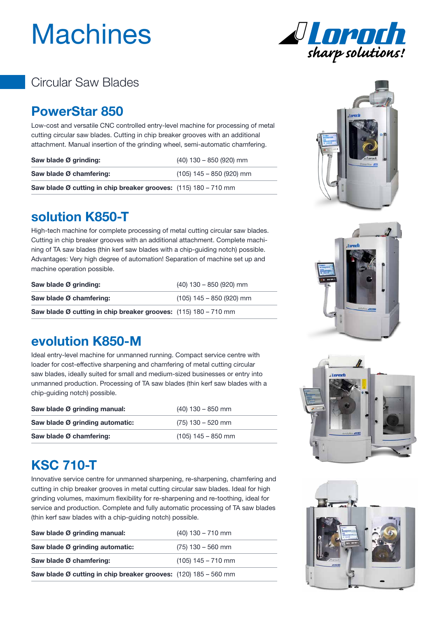# **Machines**



## Circular Saw Blades

#### **PowerStar 850**

Low-cost and versatile CNC controlled entry-level machine for processing of metal cutting circular saw blades. Cutting in chip breaker grooves with an additional attachment. Manual insertion of the grinding wheel, semi-automatic chamfering.

| Saw blade Ø grinding:                                           | $(40)$ 130 - 850 (920) mm  |
|-----------------------------------------------------------------|----------------------------|
| Saw blade Ø chamfering:                                         | $(105)$ 145 – 850 (920) mm |
| Saw blade Ø cutting in chip breaker grooves: (115) 180 - 710 mm |                            |

#### **solution K850-T**

High-tech machine for complete processing of metal cutting circular saw blades. Cutting in chip breaker grooves with an additional attachment. Complete machining of TA saw blades (thin kerf saw blades with a chip-guiding notch) possible. Advantages: Very high degree of automation! Separation of machine set up and machine operation possible.

| Saw blade Ø grinding:                                             | $(40)$ 130 - 850 (920) mm  |
|-------------------------------------------------------------------|----------------------------|
| Saw blade Ø chamfering:                                           | $(105)$ 145 – 850 (920) mm |
| Saw blade Ø cutting in chip breaker grooves: $(115)$ 180 - 710 mm |                            |



Ideal entry-level machine for unmanned running. Compact service centre with loader for cost-effective sharpening and chamfering of metal cutting circular saw blades, ideally suited for small and medium-sized businesses or entry into unmanned production. Processing of TA saw blades (thin kerf saw blades with a chip-guiding notch) possible.

| Saw blade Ø grinding manual:    | $(40)$ 130 – 850 mm  |
|---------------------------------|----------------------|
| Saw blade Ø grinding automatic: | $(75)$ 130 - 520 mm  |
| Saw blade Ø chamfering:         | $(105)$ 145 – 850 mm |



# **KSC 710-T**

Innovative service centre for unmanned sharpening, re-sharpening, chamfering and cutting in chip breaker grooves in metal cutting circular saw blades. Ideal for high grinding volumes, maximum flexibility for re-sharpening and re-toothing, ideal for service and production. Complete and fully automatic processing of TA saw blades (thin kerf saw blades with a chip-guiding notch) possible.

| Saw blade Ø grinding manual:                                    | $(40)$ 130 – 710 mm  |
|-----------------------------------------------------------------|----------------------|
| Saw blade Ø grinding automatic:                                 | $(75)$ 130 - 560 mm  |
| Saw blade Ø chamfering:                                         | $(105)$ 145 – 710 mm |
| Saw blade Ø cutting in chip breaker grooves: (120) 185 - 560 mm |                      |